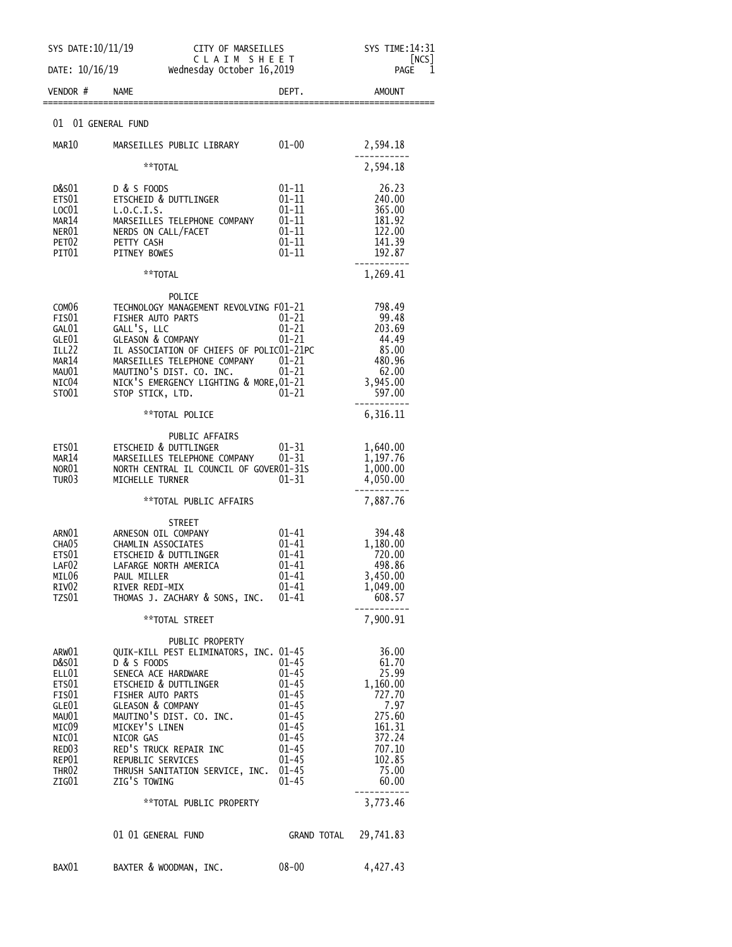| SYS TIME: 14:31                                                                               |
|-----------------------------------------------------------------------------------------------|
| [NCS]<br>PAGE<br>1                                                                            |
|                                                                                               |
|                                                                                               |
| 2,594.18                                                                                      |
| 2,594.18                                                                                      |
| 240.00                                                                                        |
|                                                                                               |
|                                                                                               |
| 122.00<br>141.39                                                                              |
|                                                                                               |
| 1,269.41                                                                                      |
|                                                                                               |
|                                                                                               |
| 203.69                                                                                        |
|                                                                                               |
|                                                                                               |
|                                                                                               |
|                                                                                               |
|                                                                                               |
|                                                                                               |
|                                                                                               |
|                                                                                               |
|                                                                                               |
|                                                                                               |
|                                                                                               |
|                                                                                               |
|                                                                                               |
|                                                                                               |
|                                                                                               |
|                                                                                               |
| 608.57                                                                                        |
| 7,900.91                                                                                      |
|                                                                                               |
| 36.00                                                                                         |
|                                                                                               |
|                                                                                               |
|                                                                                               |
|                                                                                               |
|                                                                                               |
| 372.24                                                                                        |
|                                                                                               |
|                                                                                               |
|                                                                                               |
| 3,773.46                                                                                      |
|                                                                                               |
| 4,427.43                                                                                      |
| 6,316.11<br>4,050.00<br>7,887.76<br>1,180.00<br>25.99<br>1,160.00<br>7.97<br>275.60<br>161.31 |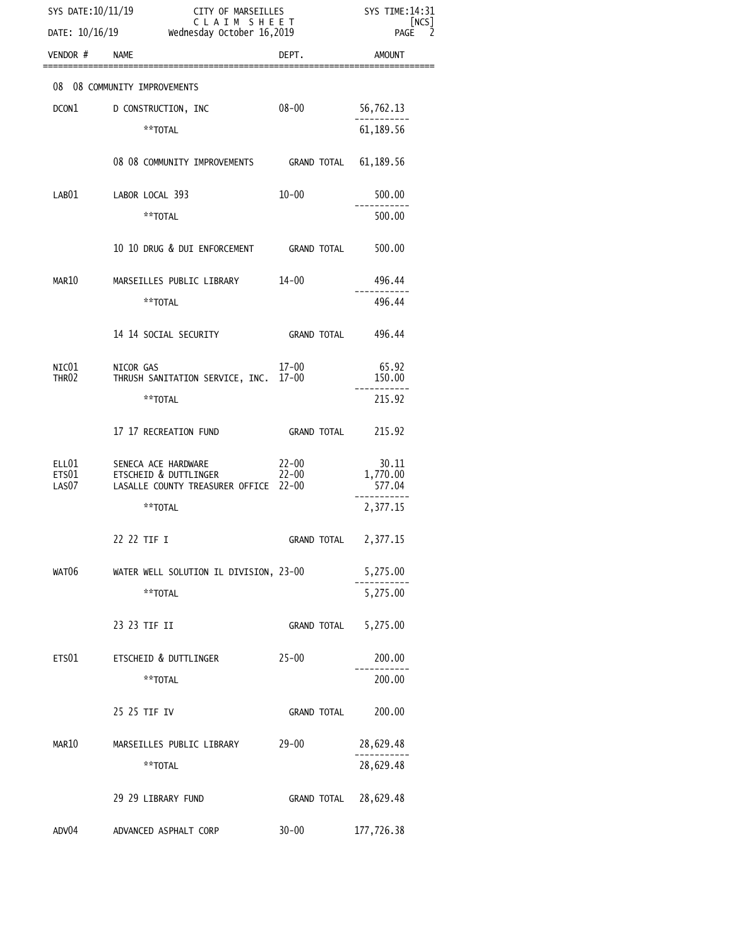| SYS DATE: 10/11/19      | DATE: 10/16/19 Wednesday October 16,2019                                              | ---- ог микъEILLES<br>С L A I M  S H E E T<br>sday October 16,2019 |                             |
|-------------------------|---------------------------------------------------------------------------------------|--------------------------------------------------------------------|-----------------------------|
| VENDOR # NAME           |                                                                                       | DEPT.                                                              | <b>AMOUNT</b>               |
|                         | 08 08 COMMUNITY IMPROVEMENTS                                                          |                                                                    |                             |
| DCON1                   | D CONSTRUCTION, INC                                                                   | $08 - 00$                                                          | 56,762.13                   |
|                         | **TOTAL                                                                               |                                                                    | 61, 189.56                  |
|                         | 08 08 COMMUNITY IMPROVEMENTS GRAND TOTAL 61,189.56                                    |                                                                    |                             |
| LAB01                   | LABOR LOCAL 393                                                                       | $10 - 00$                                                          | 500.00                      |
|                         | **TOTAL                                                                               |                                                                    | 500.00                      |
|                         | 10 10 DRUG & DUI ENFORCEMENT GRAND TOTAL                                              |                                                                    | 500.00                      |
| MAR10                   | MARSEILLES PUBLIC LIBRARY 14-00                                                       |                                                                    | 496.44                      |
|                         | **TOTAL                                                                               |                                                                    | 496.44                      |
|                         | 14    14    SOCIAL SECURITY                                                           | GRAND TOTAL 496.44                                                 |                             |
| NIC $01$<br>THR02       | NICOR GAS<br>THRUSH SANITATION SERVICE, INC. 17-00                                    | 17-00                                                              | 65.92<br>150.00             |
|                         | **TOTAL                                                                               |                                                                    | 215.92                      |
|                         | 17 17 RECREATION FUND                                                                 | GRAND TOTAL                                                        | 215.92                      |
| ELL01<br>ETS01<br>LAS07 | SENECA ACE HARDWARE<br>ETSCHEID & DUTTLINGER<br>LASALLE COUNTY TREASURER OFFICE 22-00 | 22-00<br>22-00                                                     | 30.11<br>1,770.00<br>577.04 |
|                         | **TOTAL                                                                               |                                                                    | 2,377.15                    |
|                         | 22 22 TIF I                                                                           | GRAND TOTAL 2,377.15                                               |                             |
| WAT06                   | WATER WELL SOLUTION IL DIVISION, 23-00                                                |                                                                    | 5,275.00                    |
|                         | **TOTAL                                                                               |                                                                    | 5,275.00                    |
|                         | 23 23 TIF II                                                                          | <b>GRAND TOTAL</b>                                                 | 5,275.00                    |
| ETS01                   | ETSCHEID & DUTTLINGER                                                                 | $25 - 00$                                                          | 200.00                      |
|                         | **TOTAL                                                                               |                                                                    | 200.00                      |
|                         | 25 25 TIF IV                                                                          | GRAND TOTAL                                                        | 200.00                      |
| MAR10                   | MARSEILLES PUBLIC LIBRARY                                                             | 29-00                                                              | 28,629.48                   |
|                         | **TOTAL                                                                               |                                                                    | 28,629.48                   |
|                         | 29 29 LIBRARY FUND                                                                    | GRAND TOTAL 28,629.48                                              |                             |
| ADV04                   | ADVANCED ASPHALT CORP                                                                 | $30 - 00$                                                          | 177,726.38                  |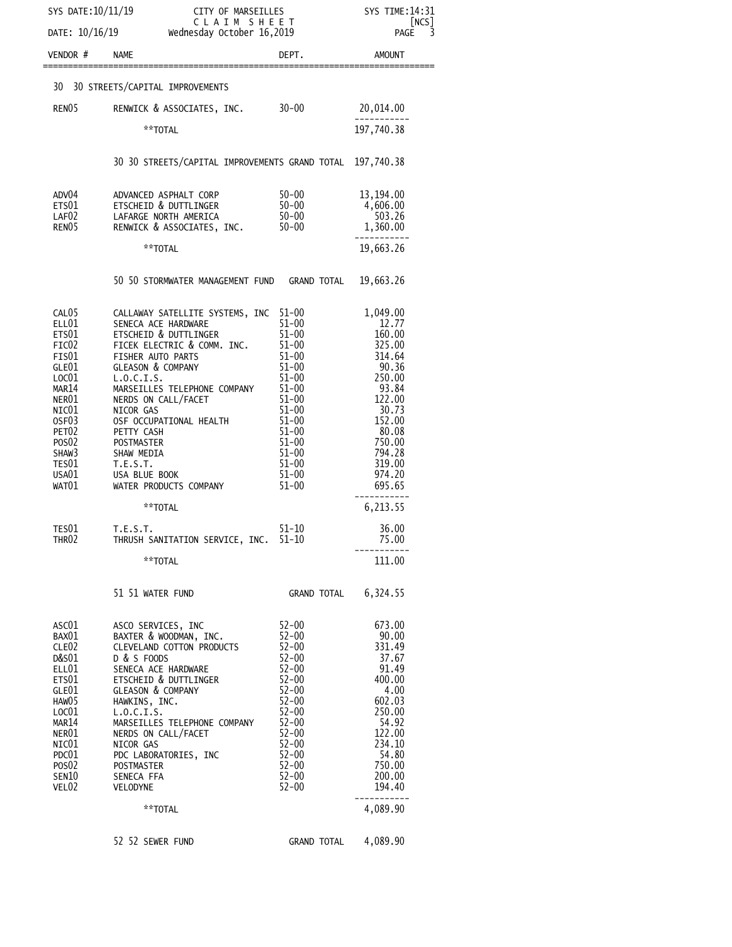| SYS DATE:10/11/19<br>CITY OF MARSEILLES                    |                                                           |                                        | SYS TIME: 14:31                  |
|------------------------------------------------------------|-----------------------------------------------------------|----------------------------------------|----------------------------------|
| CLAIM SHEET<br>DATE: 10/16/19<br>Wednesday October 16,2019 |                                                           | [NCS]<br>$\overline{3}$<br><b>PAGE</b> |                                  |
| VENDOR #                                                   | <b>NAME</b>                                               | DEPT.                                  | AMOUNT                           |
| 30                                                         | 30 STREETS/CAPITAL IMPROVEMENTS                           |                                        |                                  |
| RENO <sub>5</sub>                                          | RENWICK & ASSOCIATES, INC. 30-00                          |                                        | 20,014.00                        |
|                                                            | **TOTAL                                                   |                                        | 197,740.38                       |
|                                                            |                                                           |                                        |                                  |
|                                                            | 30 30 STREETS/CAPITAL IMPROVEMENTS GRAND TOTAL 197,740.38 |                                        |                                  |
| ADV04                                                      | ADVANCED ASPHALT CORP                                     | 50-00                                  | 13, 194.00                       |
| ETS01<br>LAF02                                             | ETSCHEID & DUTTLINGER<br>LAFARGE NORTH AMERICA            | 50-00<br>$50 - 00$                     | 4,606.00<br>$503.26$<br>1,360.00 |
| RENO <sub>5</sub>                                          | RENWICK & ASSOCIATES, INC.                                | 50-00                                  |                                  |
|                                                            | **TOTAL                                                   |                                        | 19,663.26                        |
|                                                            | 50 50 STORMWATER MANAGEMENT FUND GRAND TOTAL              |                                        | 19,663.26                        |
| CAL <sub>05</sub>                                          | CALLAWAY SATELLITE SYSTEMS, INC 51-00                     |                                        | 1,049.00                         |
| ELL01<br>ETS01                                             | SENECA ACE HARDWARE<br>ETSCHEID & DUTTLINGER              | $51 - 00$<br>$51 - 00$                 | 12.77<br>160.00                  |
| FIC <sub>02</sub>                                          | FICEK ELECTRIC & COMM. INC. 51-00                         |                                        | 325.00                           |
| FIS01<br>GLE01                                             | FISHER AUTO PARTS<br><b>GLEASON &amp; COMPANY</b>         | $51 - 00$<br>$51 - 00$                 | 314.64<br>$\frac{14.64}{90.36}$  |
| LOC01                                                      | L.0.C.I.S.                                                | $51 - 00$                              |                                  |
| MAR <sub>14</sub><br>NER01                                 | MARSEILLES TELEPHONE COMPANY<br>NERDS ON CALL/FACET       | $51 - 00$<br>$51 - 00$                 | 93.84<br>122.00                  |
| NIC01                                                      | NICOR GAS                                                 | 51-00                                  | $\frac{1}{30.73}$                |
| OSF <sub>03</sub><br>PET <sub>02</sub>                     | OSF OCCUPATIONAL HEALTH<br>PETTY CASH                     | $51 - 00$<br>$51 - 00$                 | 152.00<br>80.08                  |
| POS <sub>02</sub>                                          | <b>POSTMASTER</b>                                         | $51 - 00$                              | 750.00                           |
| SHAW3<br>TES01                                             | SHAW MEDIA<br>T.E.S.T.                                    | 51-00<br>$51 - 00$                     | 794.28<br>319.00                 |
| USA01                                                      | USA BLUE BOOK                                             | 51-00                                  | 974.20                           |
| WAT01                                                      | WATER PRODUCTS COMPANY                                    | 51–00                                  | 695.65                           |
|                                                            | **TOTAL                                                   |                                        | 6,213.55                         |
| TES01<br>THR <sub>02</sub>                                 | T.E.S.T.<br>THRUSH SANITATION SERVICE, INC. 51-10         | $51 - 10$                              | 36.00<br>75.00                   |
|                                                            | **TOTAL                                                   |                                        | 111.00                           |
|                                                            | 51 51 WATER FUND                                          | GRAND TOTAL 6,324.55                   |                                  |
| ASC01                                                      | ASCO SERVICES, INC                                        | 52-00                                  | 673.00                           |
| BAX01<br>CLE02                                             | BAXTER & WOODMAN, INC.<br>CLEVELAND COTTON PRODUCTS       | $52 - 00$<br>$52 - 00$                 | 90.00<br>331.49                  |
| D&S01                                                      | D & S FOODS                                               | $52 - 00$                              | 37.67                            |
| ELL01<br>ETS01                                             | SENECA ACE HARDWARE<br>ETSCHEID & DUTTLINGER              | $52 - 00$<br>$52 - 00$                 | 91.49<br>400.00                  |
| GLE01                                                      | <b>GLEASON &amp; COMPANY</b>                              | $52 - 00$                              | 4.00                             |
| HAW05<br>LOC <sub>01</sub>                                 | HAWKINS, INC.<br>L.0.C.I.S.                               | $52 - 00$<br>$52 - 00$                 | 602.03<br>250.00                 |
| MAR14                                                      | MARSEILLES TELEPHONE COMPANY                              | $52 - 00$                              | 54.92                            |
| NER01<br>NIC01                                             | NERDS ON CALL/FACET<br>NICOR GAS                          | $52 - 00$<br>$52 - 00$                 | 122.00<br>234.10                 |
| PDC01                                                      | PDC LABORATORIES, INC                                     | $52 - 00$                              | 54.80                            |
| POS <sub>02</sub><br>SEN10                                 | POSTMASTER<br>SENECA FFA                                  | $52 - 00$<br>$52 - 00$                 | 750.00<br>200.00                 |
| VEL02                                                      | VELODYNE                                                  | $52 - 00$                              | 194.40                           |
|                                                            | **TOTAL                                                   |                                        | .<br>4,089.90                    |
|                                                            | 52 52 SEWER FUND                                          | GRAND TOTAL                            | 4,089.90                         |